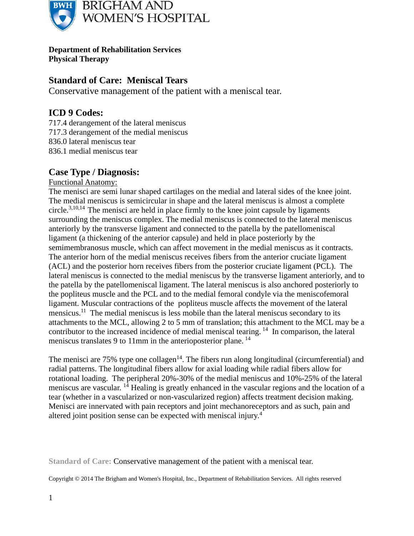

**Department of Rehabilitation Services Physical Therapy**

## **Standard of Care: Meniscal Tears**

Conservative management of the patient with a meniscal tear.

## **ICD 9 Codes:**

- 717.4 derangement of the lateral meniscus
- 717.3 derangement of the medial meniscus
- 836.0 lateral meniscus tear
- 836.1 medial meniscus tear

## **Case Type / Diagnosis:**

#### Functional Anatomy:

The menisci are semi lunar shaped cartilages on the medial and lateral sides of the knee joint. The medial meniscus is semicircular in shape and the lateral meniscus is almost a complete circle.<sup>3,10,14</sup> The menisci are held in place firmly to the knee joint capsule by ligaments surrounding the meniscus complex. The medial meniscus is connected to the lateral meniscus anteriorly by the transverse ligament and connected to the patella by the patellomeniscal ligament (a thickening of the anterior capsule) and held in place posteriorly by the semimembranosus muscle, which can affect movement in the medial meniscus as it contracts. The anterior horn of the medial meniscus receives fibers from the anterior cruciate ligament (ACL) and the posterior horn receives fibers from the posterior cruciate ligament (PCL). The lateral meniscus is connected to the medial meniscus by the transverse ligament anteriorly, and to the patella by the patellomeniscal ligament. The lateral meniscus is also anchored posteriorly to the popliteus muscle and the PCL and to the medial femoral condyle via the meniscofemoral ligament. Muscular contractions of the popliteus muscle affects the movement of the lateral mensicus.<sup>11</sup> The medial meniscus is less mobile than the lateral meniscus secondary to its attachments to the MCL, allowing 2 to 5 mm of translation; this attachment to the MCL may be a contributor to the increased incidence of medial meniscal tearing. <sup>14</sup> In comparison, the lateral meniscus translates 9 to 11mm in the anterioposterior plane.<sup>14</sup>

The menisci are  $75\%$  type one collagen<sup>14</sup>. The fibers run along longitudinal (circumferential) and radial patterns. The longitudinal fibers allow for axial loading while radial fibers allow for rotational loading. The peripheral 20%-30% of the medial meniscus and 10%-25% of the lateral meniscus are vascular. <sup>14</sup> Healing is greatly enhanced in the vascular regions and the location of a tear (whether in a vascularized or non-vascularized region) affects treatment decision making. Menisci are innervated with pain receptors and joint mechanoreceptors and as such, pain and altered joint position sense can be expected with meniscal injury.<sup>4</sup>

**Standard of Care:** Conservative management of the patient with a meniscal tear.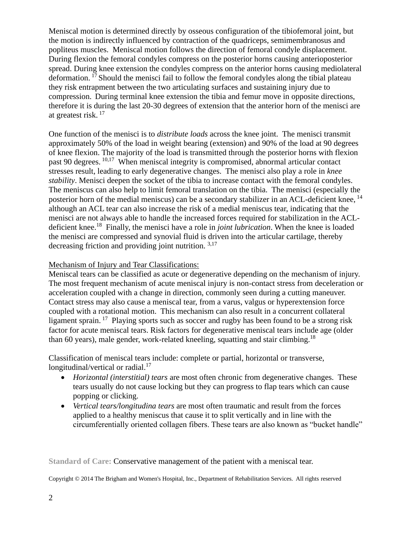Meniscal motion is determined directly by osseous configuration of the tibiofemoral joint, but the motion is indirectly influenced by contraction of the quadriceps, semimembranosus and popliteus muscles. Meniscal motion follows the direction of femoral condyle displacement. During flexion the femoral condyles compress on the posterior horns causing anterioposterior spread. During knee extension the condyles compress on the anterior horns causing mediolateral deformation. <sup>17</sup>Should the menisci fail to follow the femoral condyles along the tibial plateau they risk entrapment between the two articulating surfaces and sustaining injury due to compression. During terminal knee extension the tibia and femur move in opposite directions, therefore it is during the last 20-30 degrees of extension that the anterior horn of the menisci are at greatest risk. <sup>17</sup>

One function of the menisci is to *distribute loads* across the knee joint. The menisci transmit approximately 50% of the load in weight bearing (extension) and 90% of the load at 90 degrees of knee flexion. The majority of the load is transmitted through the posterior horns with flexion past 90 degrees. <sup>10,17</sup> When meniscal integrity is compromised, abnormal articular contact stresses result, leading to early degenerative changes. The menisci also play a role in *knee stability*. Menisci deepen the socket of the tibia to increase contact with the femoral condyles. The meniscus can also help to limit femoral translation on the tibia. The menisci (especially the posterior horn of the medial meniscus) can be a secondary stabilizer in an ACL-deficient knee, <sup>14</sup> although an ACL tear can also increase the risk of a medial meniscus tear, indicating that the menisci are not always able to handle the increased forces required for stabilization in the ACLdeficient knee.<sup>18</sup> Finally, the menisci have a role in *joint lubrication*. When the knee is loaded the menisci are compressed and synovial fluid is driven into the articular cartilage, thereby decreasing friction and providing joint nutrition.  $3,17$ 

#### Mechanism of Injury and Tear Classifications:

Meniscal tears can be classified as acute or degenerative depending on the mechanism of injury. The most frequent mechanism of acute meniscal injury is non-contact stress from deceleration or acceleration coupled with a change in direction, commonly seen during a cutting maneuver. Contact stress may also cause a meniscal tear, from a varus, valgus or hyperextension force coupled with a rotational motion. This mechanism can also result in a concurrent collateral ligament sprain.<sup>17</sup> Playing sports such as soccer and rugby has been found to be a strong risk factor for acute meniscal tears. Risk factors for degenerative meniscal tears include age (older than 60 years), male gender, work-related kneeling, squatting and stair climbing.<sup>18</sup>

Classification of meniscal tears include: complete or partial, horizontal or transverse, longitudinal/vertical or radial.<sup>17</sup>

- *Horizontal (interstitial) tears* are most often chronic from degenerative changes. These tears usually do not cause locking but they can progress to flap tears which can cause popping or clicking.
- *Vertical tears/longitudina tears* are most often traumatic and result from the forces applied to a healthy meniscus that cause it to split vertically and in line with the circumferentially oriented collagen fibers. These tears are also known as "bucket handle"

**Standard of Care:** Conservative management of the patient with a meniscal tear.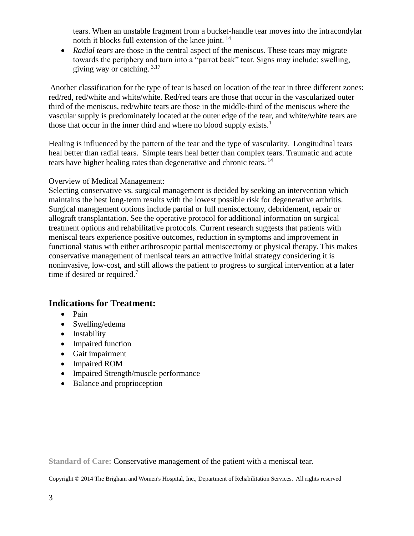tears. When an unstable fragment from a bucket-handle tear moves into the intracondylar notch it blocks full extension of the knee joint. <sup>14</sup>

• *Radial tears* are those in the central aspect of the meniscus. These tears may migrate towards the periphery and turn into a "parrot beak" tear. Signs may include: swelling, giving way or catching.  $3,17$ 

Another classification for the type of tear is based on location of the tear in three different zones: red/red, red/white and white/white. Red/red tears are those that occur in the vascularized outer third of the meniscus, red/white tears are those in the middle-third of the meniscus where the vascular supply is predominately located at the outer edge of the tear, and white/white tears are those that occur in the inner third and where no blood supply exists.<sup>1</sup>

Healing is influenced by the pattern of the tear and the type of vascularity. Longitudinal tears heal better than radial tears. Simple tears heal better than complex tears. Traumatic and acute tears have higher healing rates than degenerative and chronic tears.<sup>14</sup>

#### Overview of Medical Management:

Selecting conservative vs. surgical management is decided by seeking an intervention which maintains the best long-term results with the lowest possible risk for degenerative arthritis. Surgical management options include partial or full meniscectomy, debridement, repair or allograft transplantation. See the operative protocol for additional information on surgical treatment options and rehabilitative protocols. Current research suggests that patients with meniscal tears experience positive outcomes, reduction in symptoms and improvement in functional status with either arthroscopic partial meniscectomy or physical therapy. This makes conservative management of meniscal tears an attractive initial strategy considering it is noninvasive, low-cost, and still allows the patient to progress to surgical intervention at a later time if desired or required.<sup>7</sup>

## **Indications for Treatment:**

- Pain
- Swelling/edema
- Instability
- Impaired function
- Gait impairment
- Impaired ROM
- Impaired Strength/muscle performance
- Balance and proprioception

**Standard of Care:** Conservative management of the patient with a meniscal tear.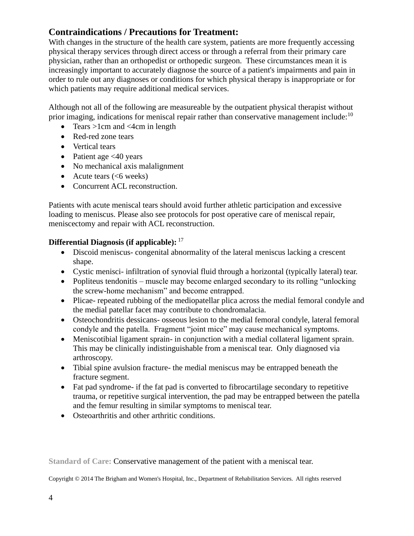## **Contraindications / Precautions for Treatment:**

With changes in the structure of the health care system, patients are more frequently accessing physical therapy services through direct access or through a referral from their primary care physician, rather than an orthopedist or orthopedic surgeon. These circumstances mean it is increasingly important to accurately diagnose the source of a patient's impairments and pain in order to rule out any diagnoses or conditions for which physical therapy is inappropriate or for which patients may require additional medical services.

Although not all of the following are measureable by the outpatient physical therapist without prior imaging, indications for meniscal repair rather than conservative management include: $10$ 

- Tears  $>1$ cm and  $<4$ cm in length
- Red-red zone tears
- Vertical tears
- Patient age  $\leq 40$  years
- No mechanical axis malalignment
- Acute tears  $(<6$  weeks)
- Concurrent ACL reconstruction.

Patients with acute meniscal tears should avoid further athletic participation and excessive loading to meniscus. Please also see protocols for post operative care of meniscal repair, meniscectomy and repair with ACL reconstruction.

## **Differential Diagnosis (if applicable):** <sup>17</sup>

- Discoid meniscus- congenital abnormality of the lateral meniscus lacking a crescent shape.
- Cystic menisci- infiltration of synovial fluid through a horizontal (typically lateral) tear.
- Popliteus tendonitis muscle may become enlarged secondary to its rolling "unlocking" the screw-home mechanism" and become entrapped.
- Plicae- repeated rubbing of the mediopatellar plica across the medial femoral condyle and the medial patellar facet may contribute to chondromalacia.
- Osteochondritis dessicans- osseous lesion to the medial femoral condyle, lateral femoral condyle and the patella. Fragment "joint mice" may cause mechanical symptoms.
- Meniscotibial ligament sprain- in conjunction with a medial collateral ligament sprain. This may be clinically indistinguishable from a meniscal tear. Only diagnosed via arthroscopy.
- Tibial spine avulsion fracture- the medial meniscus may be entrapped beneath the fracture segment.
- Fat pad syndrome- if the fat pad is converted to fibrocartilage secondary to repetitive trauma, or repetitive surgical intervention, the pad may be entrapped between the patella and the femur resulting in similar symptoms to meniscal tear.
- Osteoarthritis and other arthritic conditions.

**Standard of Care:** Conservative management of the patient with a meniscal tear.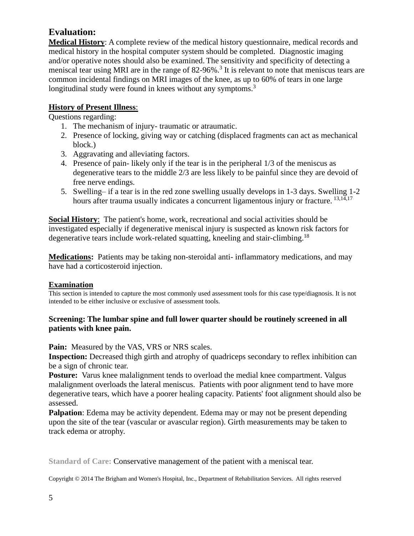## **Evaluation:**

**Medical History**: A complete review of the medical history questionnaire, medical records and medical history in the hospital computer system should be completed. Diagnostic imaging and/or operative notes should also be examined. The sensitivity and specificity of detecting a meniscal tear using MRI are in the range of  $82-96\%$ .<sup>3</sup> It is relevant to note that meniscus tears are common incidental findings on MRI images of the knee, as up to 60% of tears in one large longitudinal study were found in knees without any symptoms.<sup>3</sup>

## **History of Present Illness**:

Questions regarding:

- 1. The mechanism of injury- traumatic or atraumatic.
- 2. Presence of locking, giving way or catching (displaced fragments can act as mechanical block.)
- 3. Aggravating and alleviating factors.
- 4. Presence of pain- likely only if the tear is in the peripheral 1/3 of the meniscus as degenerative tears to the middle 2/3 are less likely to be painful since they are devoid of free nerve endings.
- 5. Swelling– if a tear is in the red zone swelling usually develops in 1-3 days. Swelling 1-2 hours after trauma usually indicates a concurrent ligamentous injury or fracture.  $13,14,17$

**Social History**: The patient's home, work, recreational and social activities should be investigated especially if degenerative meniscal injury is suspected as known risk factors for degenerative tears include work-related squatting, kneeling and stair-climbing.<sup>18</sup>

**Medications:** Patients may be taking non-steroidal anti- inflammatory medications, and may have had a corticosteroid injection.

## **Examination**

This section is intended to capture the most commonly used assessment tools for this case type/diagnosis. It is not intended to be either inclusive or exclusive of assessment tools.

## **Screening: The lumbar spine and full lower quarter should be routinely screened in all patients with knee pain.**

Pain: Measured by the VAS, VRS or NRS scales.

**Inspection:** Decreased thigh girth and atrophy of quadriceps secondary to reflex inhibition can be a sign of chronic tear.

**Posture:** Varus knee malalignment tends to overload the medial knee compartment. Valgus malalignment overloads the lateral meniscus. Patients with poor alignment tend to have more degenerative tears, which have a poorer healing capacity. Patients' foot alignment should also be assessed.

**Palpation**: Edema may be activity dependent. Edema may or may not be present depending upon the site of the tear (vascular or avascular region). Girth measurements may be taken to track edema or atrophy.

**Standard of Care:** Conservative management of the patient with a meniscal tear.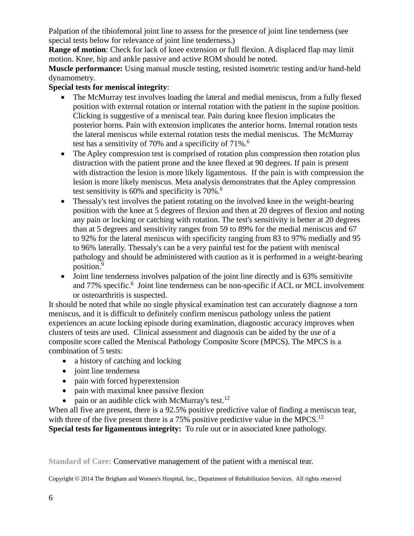Palpation of the tibiofemoral joint line to assess for the presence of joint line tenderness (see special tests below for relevance of joint line tenderness.)

**Range of motion**: Check for lack of knee extension or full flexion. A displaced flap may limit motion. Knee, hip and ankle passive and active ROM should be noted.

**Muscle performance:** Using manual muscle testing, resisted isometric testing and/or hand-held dynamometry.

## **Special tests for meniscal integrity**:

- The McMurray test involves loading the lateral and medial meniscus, from a fully flexed position with external rotation or internal rotation with the patient in the supine position. Clicking is suggestive of a meniscal tear. Pain during knee flexion implicates the posterior horns. Pain with extension implicates the anterior horns. Internal rotation tests the lateral meniscus while external rotation tests the medial meniscus. The McMurray test has a sensitivity of 70% and a specificity of 71%.<sup>6</sup>
- The Apley compression test is comprised of rotation plus compression then rotation plus distraction with the patient prone and the knee flexed at 90 degrees. If pain is present with distraction the lesion is more likely ligamentous. If the pain is with compression the lesion is more likely meniscus. Meta analysis demonstrates that the Apley compression test sensitivity is 60% and specificity is 70%. 6
- Thessaly's test involves the patient rotating on the involved knee in the weight-bearing position with the knee at 5 degrees of flexion and then at 20 degrees of flexion and noting any pain or locking or catching with rotation. The test's sensitivity is better at 20 degrees than at 5 degrees and sensitivity ranges from 59 to 89% for the medial meniscus and 67 to 92% for the lateral meniscus with specificity ranging from 83 to 97% medially and 95 to 96% laterally. Thessaly's can be a very painful test for the patient with meniscal pathology and should be administered with caution as it is performed in a weight-bearing position. 9
- Joint line tenderness involves palpation of the joint line directly and is 63% sensitivite and 77% specific.<sup>6</sup> Joint line tenderness can be non-specific if ACL or MCL involvement or osteoarthritis is suspected.

It should be noted that while no single physical examination test can accurately diagnose a torn meniscus, and it is difficult to definitely confirm meniscus pathology unless the patient experiences an acute locking episode during examination, diagnostic accuracy improves when clusters of tests are used. Clinical assessment and diagnosis can be aided by the use of a composite score called the Meniscal Pathology Composite Score (MPCS). The MPCS is a combination of 5 tests:

- a history of catching and locking
- joint line tenderness
- pain with forced hyperextension
- pain with maximal knee passive flexion
- pain or an audible click with McMurray's test.<sup>12</sup>

When all five are present, there is a 92.5% positive predictive value of finding a meniscus tear, with three of the five present there is a 75% positive predictive value in the MPCS.<sup>12</sup> **Special tests for ligamentous integrity:** To rule out or in associated knee pathology.

**Standard of Care:** Conservative management of the patient with a meniscal tear.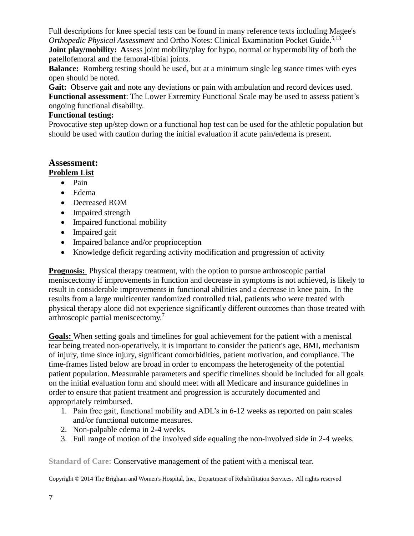Full descriptions for knee special tests can be found in many reference texts including Magee's *Orthopedic Physical Assessment* and Ortho Notes: Clinical Examination Pocket Guide. 5,13

**Joint play/mobility:** Assess joint mobility/play for hypo, normal or hypermobility of both the patellofemoral and the femoral-tibial joints.

**Balance:** Romberg testing should be used, but at a minimum single leg stance times with eyes open should be noted.

Gait: Observe gait and note any deviations or pain with ambulation and record devices used. **Functional assessment**: The Lower Extremity Functional Scale may be used to assess patient's ongoing functional disability.

## **Functional testing:**

Provocative step up/step down or a functional hop test can be used for the athletic population but should be used with caution during the initial evaluation if acute pain/edema is present.

# **Assessment:**

## **Problem List**

- Pain
- Edema
- Decreased ROM
- Impaired strength
- Impaired functional mobility
- Impaired gait
- Impaired balance and/or proprioception
- Knowledge deficit regarding activity modification and progression of activity

**Prognosis:** Physical therapy treatment, with the option to pursue arthroscopic partial meniscectomy if improvements in function and decrease in symptoms is not achieved, is likely to result in considerable improvements in functional abilities and a decrease in knee pain. In the results from a large multicenter randomized controlled trial, patients who were treated with physical therapy alone did not experience significantly different outcomes than those treated with arthroscopic partial meniscectomy.<sup>7</sup>

**Goals:** When setting goals and timelines for goal achievement for the patient with a meniscal tear being treated non-operatively, it is important to consider the patient's age, BMI, mechanism of injury, time since injury, significant comorbidities, patient motivation, and compliance. The time-frames listed below are broad in order to encompass the heterogeneity of the potential patient population. Measurable parameters and specific timelines should be included for all goals on the initial evaluation form and should meet with all Medicare and insurance guidelines in order to ensure that patient treatment and progression is accurately documented and appropriately reimbursed.

- 1. Pain free gait, functional mobility and ADL's in 6-12 weeks as reported on pain scales and/or functional outcome measures.
- 2. Non-palpable edema in 2-4 weeks.
- 3. Full range of motion of the involved side equaling the non-involved side in 2-4 weeks.

**Standard of Care:** Conservative management of the patient with a meniscal tear.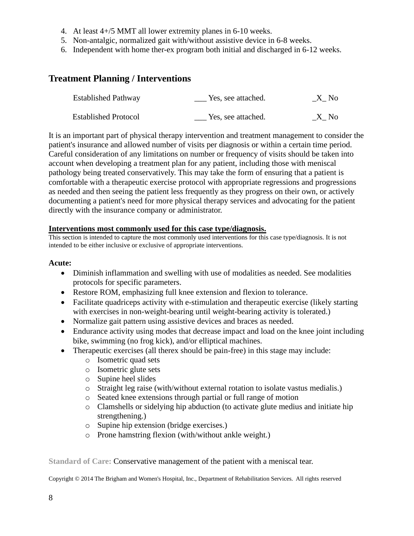- 4. At least 4+/5 MMT all lower extremity planes in 6-10 weeks.
- 5. Non-antalgic, normalized gait with/without assistive device in 6-8 weeks.
- 6. Independent with home ther-ex program both initial and discharged in 6-12 weeks.

## **Treatment Planning / Interventions**

| <b>Established Pathway</b>  | Yes, see attached. | X No |
|-----------------------------|--------------------|------|
| <b>Established Protocol</b> | Yes, see attached. | X No |

It is an important part of physical therapy intervention and treatment management to consider the patient's insurance and allowed number of visits per diagnosis or within a certain time period. Careful consideration of any limitations on number or frequency of visits should be taken into account when developing a treatment plan for any patient, including those with meniscal pathology being treated conservatively. This may take the form of ensuring that a patient is comfortable with a therapeutic exercise protocol with appropriate regressions and progressions as needed and then seeing the patient less frequently as they progress on their own, or actively documenting a patient's need for more physical therapy services and advocating for the patient directly with the insurance company or administrator.

#### **Interventions most commonly used for this case type/diagnosis.**

This section is intended to capture the most commonly used interventions for this case type/diagnosis. It is not intended to be either inclusive or exclusive of appropriate interventions.

#### **Acute:**

- Diminish inflammation and swelling with use of modalities as needed. See modalities protocols for specific parameters.
- Restore ROM, emphasizing full knee extension and flexion to tolerance.
- Facilitate quadriceps activity with e-stimulation and therapeutic exercise (likely starting with exercises in non-weight-bearing until weight-bearing activity is tolerated.)
- Normalize gait pattern using assistive devices and braces as needed.
- Endurance activity using modes that decrease impact and load on the knee joint including bike, swimming (no frog kick), and/or elliptical machines.
- Therapeutic exercises (all therex should be pain-free) in this stage may include:
	- o Isometric quad sets
	- o Isometric glute sets
	- o Supine heel slides
	- o Straight leg raise (with/without external rotation to isolate vastus medialis.)
	- o Seated knee extensions through partial or full range of motion
	- o Clamshells or sidelying hip abduction (to activate glute medius and initiate hip strengthening.)
	- o Supine hip extension (bridge exercises.)
	- o Prone hamstring flexion (with/without ankle weight.)

**Standard of Care:** Conservative management of the patient with a meniscal tear.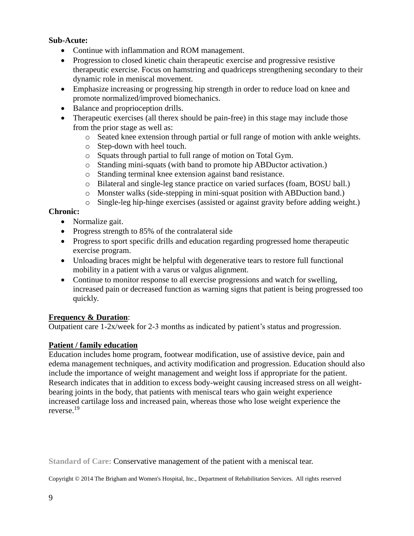#### **Sub-Acute:**

- Continue with inflammation and ROM management.
- Progression to closed kinetic chain therapeutic exercise and progressive resistive therapeutic exercise. Focus on hamstring and quadriceps strengthening secondary to their dynamic role in meniscal movement.
- Emphasize increasing or progressing hip strength in order to reduce load on knee and promote normalized/improved biomechanics.
- Balance and proprioception drills.
- Therapeutic exercises (all therex should be pain-free) in this stage may include those from the prior stage as well as:
	- o Seated knee extension through partial or full range of motion with ankle weights.
	- o Step-down with heel touch.
	- o Squats through partial to full range of motion on Total Gym.
	- o Standing mini-squats (with band to promote hip ABDuctor activation.)
	- o Standing terminal knee extension against band resistance.
	- o Bilateral and single-leg stance practice on varied surfaces (foam, BOSU ball.)
	- o Monster walks (side-stepping in mini-squat position with ABDuction band.)
	- o Single-leg hip-hinge exercises (assisted or against gravity before adding weight.)

## **Chronic:**

- Normalize gait.
- Progress strength to 85% of the contralateral side
- Progress to sport specific drills and education regarding progressed home therapeutic exercise program.
- Unloading braces might be helpful with degenerative tears to restore full functional mobility in a patient with a varus or valgus alignment.
- Continue to monitor response to all exercise progressions and watch for swelling, increased pain or decreased function as warning signs that patient is being progressed too quickly.

## **Frequency & Duration**:

Outpatient care 1-2x/week for 2-3 months as indicated by patient's status and progression.

## **Patient / family education**

Education includes home program, footwear modification, use of assistive device, pain and edema management techniques, and activity modification and progression. Education should also include the importance of weight management and weight loss if appropriate for the patient. Research indicates that in addition to excess body-weight causing increased stress on all weightbearing joints in the body, that patients with meniscal tears who gain weight experience increased cartilage loss and increased pain, whereas those who lose weight experience the reverse.<sup>19</sup>

**Standard of Care:** Conservative management of the patient with a meniscal tear.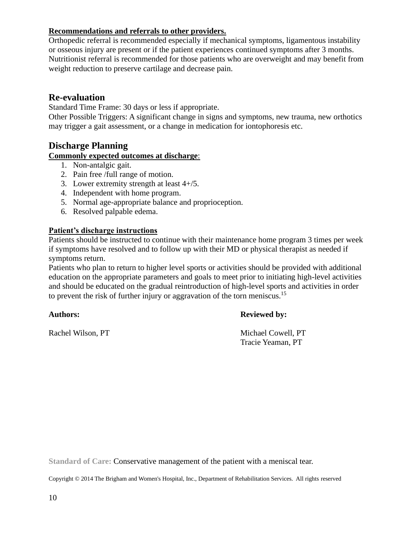## **Recommendations and referrals to other providers.**

Orthopedic referral is recommended especially if mechanical symptoms, ligamentous instability or osseous injury are present or if the patient experiences continued symptoms after 3 months. Nutritionist referral is recommended for those patients who are overweight and may benefit from weight reduction to preserve cartilage and decrease pain.

## **Re-evaluation**

Standard Time Frame: 30 days or less if appropriate.

Other Possible Triggers: A significant change in signs and symptoms, new trauma, new orthotics may trigger a gait assessment, or a change in medication for iontophoresis etc.

## **Discharge Planning**

#### **Commonly expected outcomes at discharge**:

- 1. Non-antalgic gait.
- 2. Pain free /full range of motion.
- 3. Lower extremity strength at least 4+/5.
- 4. Independent with home program.
- 5. Normal age-appropriate balance and proprioception.
- 6. Resolved palpable edema.

#### **Patient's discharge instructions**

Patients should be instructed to continue with their maintenance home program 3 times per week if symptoms have resolved and to follow up with their MD or physical therapist as needed if symptoms return.

Patients who plan to return to higher level sports or activities should be provided with additional education on the appropriate parameters and goals to meet prior to initiating high-level activities and should be educated on the gradual reintroduction of high-level sports and activities in order to prevent the risk of further injury or aggravation of the torn meniscus.<sup>15</sup>

#### **Authors: Reviewed by:**

Rachel Wilson, PT Michael Cowell, PT Tracie Yeaman, PT

**Standard of Care:** Conservative management of the patient with a meniscal tear.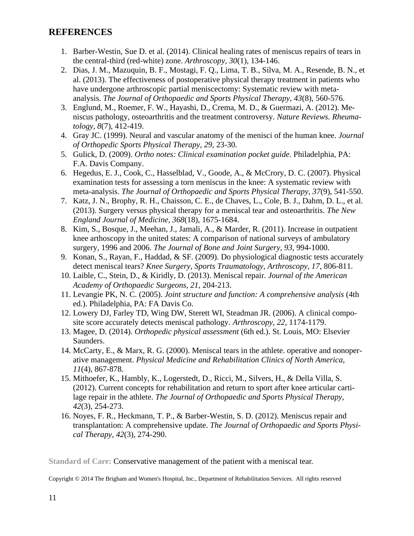## **REFERENCES**

- 1. Barber-Westin, Sue D. et al. (2014). Clinical healing rates of meniscus repairs of tears in the central-third (red-white) zone. *Arthroscopy, 30*(1), 134-146.
- 2. Dias, J. M., Mazuquin, B. F., Mostagi, F. Q., Lima, T. B., Silva, M. A., Resende, B. N., et al. (2013). The effectiveness of postoperative physical therapy treatment in patients who have undergone arthroscopic partial meniscectomy: Systematic review with metaanalysis. *The Journal of Orthopaedic and Sports Physical Therapy, 43*(8), 560-576.
- 3. Englund, M., Roemer, F. W., Hayashi, D., Crema, M. D., & Guermazi, A. (2012). Meniscus pathology, osteoarthritis and the treatment controversy. *Nature Reviews. Rheumatology, 8*(7), 412-419.
- 4. Gray JC. (1999). Neural and vascular anatomy of the menisci of the human knee. *Journal of Orthopedic Sports Physical Therapy, 29*, 23-30.
- 5. Gulick, D. (2009). *Ortho notes: Clinical examination pocket guide*. Philadelphia, PA: F.A. Davis Company.
- 6. Hegedus, E. J., Cook, C., Hasselblad, V., Goode, A., & McCrory, D. C. (2007). Physical examination tests for assessing a torn meniscus in the knee: A systematic review with meta-analysis. *The Journal of Orthopaedic and Sports Physical Therapy, 37*(9), 541-550.
- 7. Katz, J. N., Brophy, R. H., Chaisson, C. E., de Chaves, L., Cole, B. J., Dahm, D. L., et al. (2013). Surgery versus physical therapy for a meniscal tear and osteoarthritis. *The New England Journal of Medicine, 368*(18), 1675-1684.
- 8. Kim, S., Bosque, J., Meehan, J., Jamali, A., & Marder, R. (2011). Increase in outpatient knee arthoscopy in the united states: A comparison of national surveys of ambulatory surgery, 1996 and 2006. *The Journal of Bone and Joint Surgery, 93*, 994-1000.
- 9. Konan, S., Rayan, F., Haddad, & SF. (2009). Do physiological diagnostic tests accurately detect meniscal tears? *Knee Surgery, Sports Traumatology, Arthroscopy, 17*, 806-811.
- 10. Laible, C., Stein, D., & Kiridly, D. (2013). Meniscal repair. *Journal of the American Academy of Orthopaedic Surgeons, 21*, 204-213.
- 11. Levangie PK, N. C. (2005). *Joint structure and function: A comprehensive analysis* (4th ed.). Philadelphia, PA: FA Davis Co.
- 12. Lowery DJ, Farley TD, Wing DW, Sterett WI, Steadman JR. (2006). A clinical composite score accurately detects meniscal pathology. *Arthroscopy, 22*, 1174-1179.
- 13. Magee, D. (2014). *Orthopedic physical assessment* (6th ed.). St. Louis, MO: Elsevier Saunders.
- 14. McCarty, E., & Marx, R. G. (2000). Meniscal tears in the athlete. operative and nonoperative management. *Physical Medicine and Rehabilitation Clinics of North America, 11*(4), 867-878.
- 15. Mithoefer, K., Hambly, K., Logerstedt, D., Ricci, M., Silvers, H., & Della Villa, S. (2012). Current concepts for rehabilitation and return to sport after knee articular cartilage repair in the athlete. *The Journal of Orthopaedic and Sports Physical Therapy, 42*(3), 254-273.
- 16. Noyes, F. R., Heckmann, T. P., & Barber-Westin, S. D. (2012). Meniscus repair and transplantation: A comprehensive update. *The Journal of Orthopaedic and Sports Physical Therapy, 42*(3), 274-290.

**Standard of Care:** Conservative management of the patient with a meniscal tear.